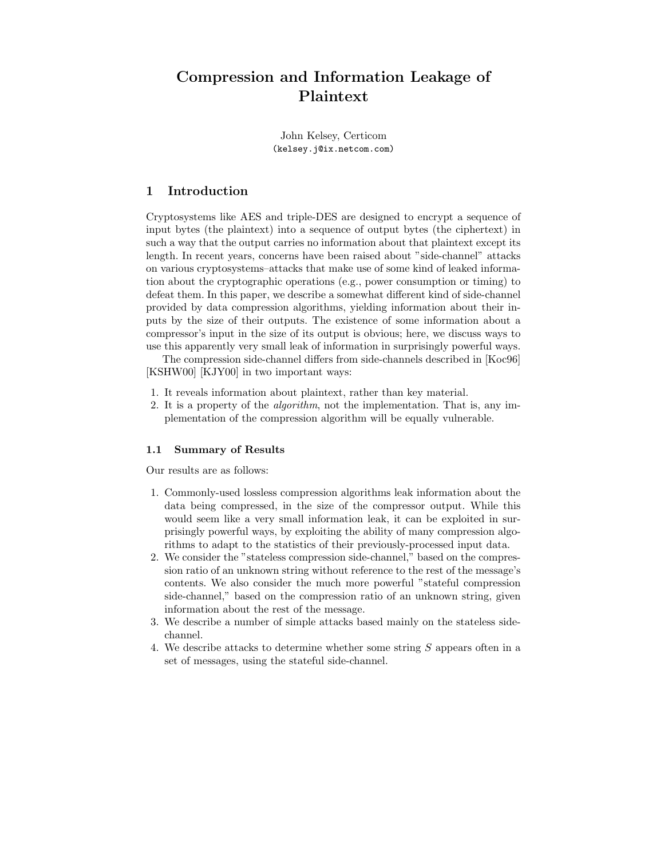# Compression and Information Leakage of Plaintext

John Kelsey, Certicom (kelsey.j@ix.netcom.com)

# 1 Introduction

Cryptosystems like AES and triple-DES are designed to encrypt a sequence of input bytes (the plaintext) into a sequence of output bytes (the ciphertext) in such a way that the output carries no information about that plaintext except its length. In recent years, concerns have been raised about "side-channel" attacks on various cryptosystems–attacks that make use of some kind of leaked information about the cryptographic operations (e.g., power consumption or timing) to defeat them. In this paper, we describe a somewhat different kind of side-channel provided by data compression algorithms, yielding information about their inputs by the size of their outputs. The existence of some information about a compressor's input in the size of its output is obvious; here, we discuss ways to use this apparently very small leak of information in surprisingly powerful ways.

The compression side-channel differs from side-channels described in [Koc96] [KSHW00] [KJY00] in two important ways:

- 1. It reveals information about plaintext, rather than key material.
- 2. It is a property of the algorithm, not the implementation. That is, any implementation of the compression algorithm will be equally vulnerable.

# 1.1 Summary of Results

Our results are as follows:

- 1. Commonly-used lossless compression algorithms leak information about the data being compressed, in the size of the compressor output. While this would seem like a very small information leak, it can be exploited in surprisingly powerful ways, by exploiting the ability of many compression algorithms to adapt to the statistics of their previously-processed input data.
- 2. We consider the "stateless compression side-channel," based on the compression ratio of an unknown string without reference to the rest of the message's contents. We also consider the much more powerful "stateful compression side-channel," based on the compression ratio of an unknown string, given information about the rest of the message.
- 3. We describe a number of simple attacks based mainly on the stateless sidechannel.
- 4. We describe attacks to determine whether some string S appears often in a set of messages, using the stateful side-channel.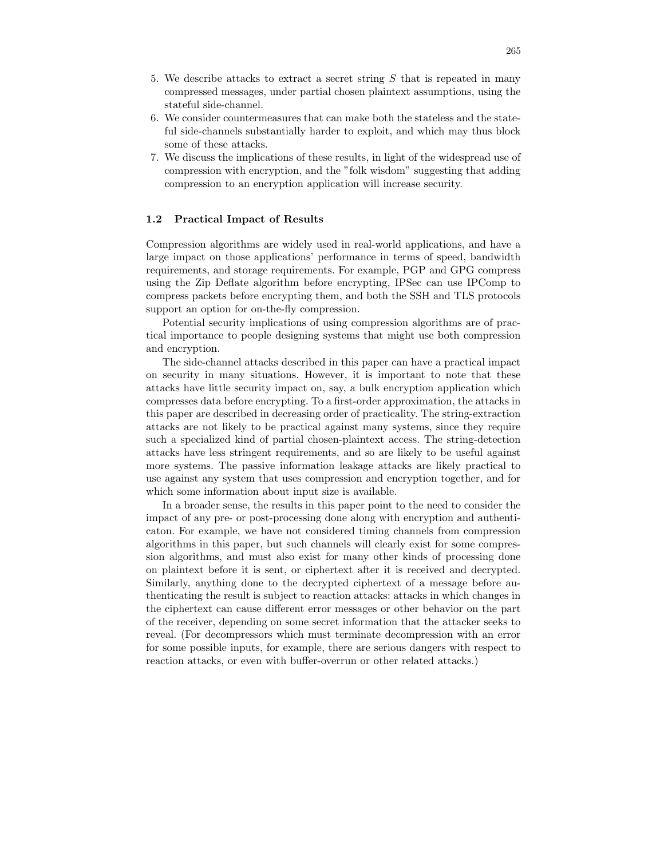- 5. We describe attacks to extract a secret string  $S$  that is repeated in many compressed messages, under partial chosen plaintext assumptions, using the stateful side-channel.
- 6. We consider countermeasures that can make both the stateless and the stateful side-channels substantially harder to exploit, and which may thus block some of these attacks.
- 7. We discuss the implications of these results, in light of the widespread use of compression with encryption, and the "folk wisdom" suggesting that adding compression to an encryption application will increase security.

# 1.2 Practical Impact of Results

Compression algorithms are widely used in real-world applications, and have a large impact on those applications' performance in terms of speed, bandwidth requirements, and storage requirements. For example, PGP and GPG compress using the Zip Deflate algorithm before encrypting, IPSec can use IPComp to compress packets before encrypting them, and both the SSH and TLS protocols support an option for on-the-fly compression.

Potential security implications of using compression algorithms are of practical importance to people designing systems that might use both compression and encryption.

The side-channel attacks described in this paper can have a practical impact on security in many situations. However, it is important to note that these attacks have little security impact on, say, a bulk encryption application which compresses data before encrypting. To a first-order approximation, the attacks in this paper are described in decreasing order of practicality. The string-extraction attacks are not likely to be practical against many systems, since they require such a specialized kind of partial chosen-plaintext access. The string-detection attacks have less stringent requirements, and so are likely to be useful against more systems. The passive information leakage attacks are likely practical to use against any system that uses compression and encryption together, and for which some information about input size is available.

In a broader sense, the results in this paper point to the need to consider the impact of any pre- or post-processing done along with encryption and authenticaton. For example, we have not considered timing channels from compression algorithms in this paper, but such channels will clearly exist for some compression algorithms, and must also exist for many other kinds of processing done on plaintext before it is sent, or ciphertext after it is received and decrypted. Similarly, anything done to the decrypted ciphertext of a message before authenticating the result is subject to reaction attacks: attacks in which changes in the ciphertext can cause different error messages or other behavior on the part of the receiver, depending on some secret information that the attacker seeks to reveal. (For decompressors which must terminate decompression with an error for some possible inputs, for example, there are serious dangers with respect to reaction attacks, or even with buffer-overrun or other related attacks.)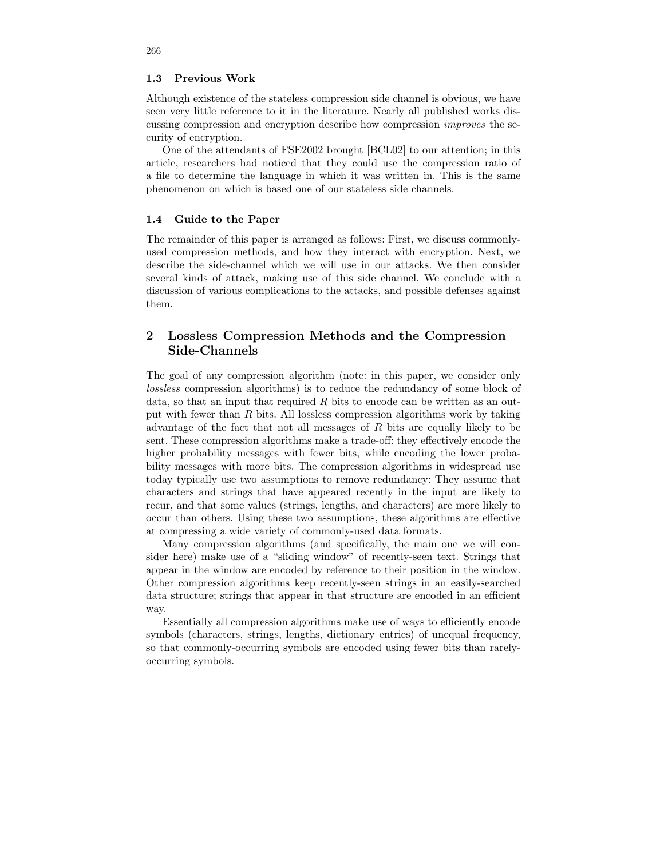#### 1.3 Previous Work

Although existence of the stateless compression side channel is obvious, we have seen very little reference to it in the literature. Nearly all published works discussing compression and encryption describe how compression improves the security of encryption.

One of the attendants of FSE2002 brought [BCL02] to our attention; in this article, researchers had noticed that they could use the compression ratio of a file to determine the language in which it was written in. This is the same phenomenon on which is based one of our stateless side channels.

### 1.4 Guide to the Paper

The remainder of this paper is arranged as follows: First, we discuss commonlyused compression methods, and how they interact with encryption. Next, we describe the side-channel which we will use in our attacks. We then consider several kinds of attack, making use of this side channel. We conclude with a discussion of various complications to the attacks, and possible defenses against them.

# 2 Lossless Compression Methods and the Compression Side-Channels

The goal of any compression algorithm (note: in this paper, we consider only lossless compression algorithms) is to reduce the redundancy of some block of data, so that an input that required  $R$  bits to encode can be written as an output with fewer than  $R$  bits. All lossless compression algorithms work by taking advantage of the fact that not all messages of  $R$  bits are equally likely to be sent. These compression algorithms make a trade-off: they effectively encode the higher probability messages with fewer bits, while encoding the lower probability messages with more bits. The compression algorithms in widespread use today typically use two assumptions to remove redundancy: They assume that characters and strings that have appeared recently in the input are likely to recur, and that some values (strings, lengths, and characters) are more likely to occur than others. Using these two assumptions, these algorithms are effective at compressing a wide variety of commonly-used data formats.

Many compression algorithms (and specifically, the main one we will consider here) make use of a "sliding window" of recently-seen text. Strings that appear in the window are encoded by reference to their position in the window. Other compression algorithms keep recently-seen strings in an easily-searched data structure; strings that appear in that structure are encoded in an efficient way.

Essentially all compression algorithms make use of ways to efficiently encode symbols (characters, strings, lengths, dictionary entries) of unequal frequency, so that commonly-occurring symbols are encoded using fewer bits than rarelyoccurring symbols.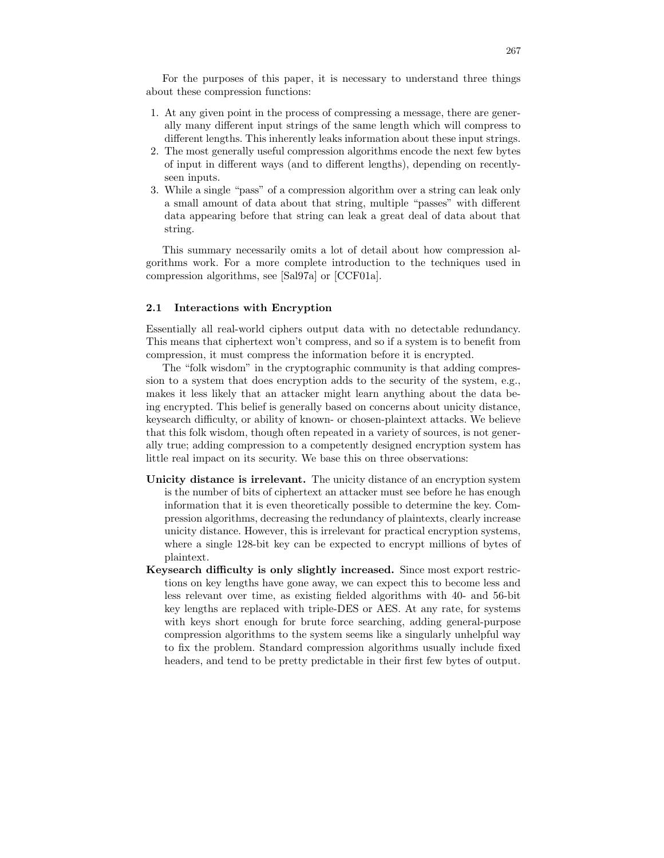For the purposes of this paper, it is necessary to understand three things about these compression functions:

- 1. At any given point in the process of compressing a message, there are generally many different input strings of the same length which will compress to different lengths. This inherently leaks information about these input strings.
- 2. The most generally useful compression algorithms encode the next few bytes of input in different ways (and to different lengths), depending on recentlyseen inputs.
- 3. While a single "pass" of a compression algorithm over a string can leak only a small amount of data about that string, multiple "passes" with different data appearing before that string can leak a great deal of data about that string.

This summary necessarily omits a lot of detail about how compression algorithms work. For a more complete introduction to the techniques used in compression algorithms, see [Sal97a] or [CCF01a].

#### 2.1 Interactions with Encryption

Essentially all real-world ciphers output data with no detectable redundancy. This means that ciphertext won't compress, and so if a system is to benefit from compression, it must compress the information before it is encrypted.

The "folk wisdom" in the cryptographic community is that adding compression to a system that does encryption adds to the security of the system, e.g., makes it less likely that an attacker might learn anything about the data being encrypted. This belief is generally based on concerns about unicity distance, keysearch difficulty, or ability of known- or chosen-plaintext attacks. We believe that this folk wisdom, though often repeated in a variety of sources, is not generally true; adding compression to a competently designed encryption system has little real impact on its security. We base this on three observations:

- Unicity distance is irrelevant. The unicity distance of an encryption system is the number of bits of ciphertext an attacker must see before he has enough information that it is even theoretically possible to determine the key. Compression algorithms, decreasing the redundancy of plaintexts, clearly increase unicity distance. However, this is irrelevant for practical encryption systems, where a single 128-bit key can be expected to encrypt millions of bytes of plaintext.
- Keysearch difficulty is only slightly increased. Since most export restrictions on key lengths have gone away, we can expect this to become less and less relevant over time, as existing fielded algorithms with 40- and 56-bit key lengths are replaced with triple-DES or AES. At any rate, for systems with keys short enough for brute force searching, adding general-purpose compression algorithms to the system seems like a singularly unhelpful way to fix the problem. Standard compression algorithms usually include fixed headers, and tend to be pretty predictable in their first few bytes of output.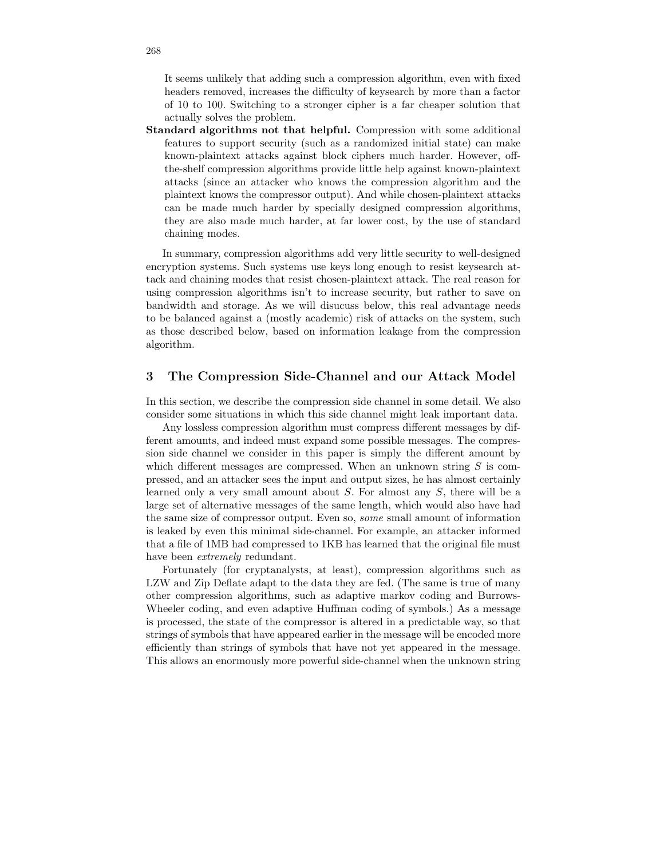It seems unlikely that adding such a compression algorithm, even with fixed headers removed, increases the difficulty of keysearch by more than a factor of 10 to 100. Switching to a stronger cipher is a far cheaper solution that actually solves the problem.

Standard algorithms not that helpful. Compression with some additional features to support security (such as a randomized initial state) can make known-plaintext attacks against block ciphers much harder. However, offthe-shelf compression algorithms provide little help against known-plaintext attacks (since an attacker who knows the compression algorithm and the plaintext knows the compressor output). And while chosen-plaintext attacks can be made much harder by specially designed compression algorithms, they are also made much harder, at far lower cost, by the use of standard chaining modes.

In summary, compression algorithms add very little security to well-designed encryption systems. Such systems use keys long enough to resist keysearch attack and chaining modes that resist chosen-plaintext attack. The real reason for using compression algorithms isn't to increase security, but rather to save on bandwidth and storage. As we will disucuss below, this real advantage needs to be balanced against a (mostly academic) risk of attacks on the system, such as those described below, based on information leakage from the compression algorithm.

# 3 The Compression Side-Channel and our Attack Model

In this section, we describe the compression side channel in some detail. We also consider some situations in which this side channel might leak important data.

Any lossless compression algorithm must compress different messages by different amounts, and indeed must expand some possible messages. The compression side channel we consider in this paper is simply the different amount by which different messages are compressed. When an unknown string  $S$  is compressed, and an attacker sees the input and output sizes, he has almost certainly learned only a very small amount about S. For almost any S, there will be a large set of alternative messages of the same length, which would also have had the same size of compressor output. Even so, some small amount of information is leaked by even this minimal side-channel. For example, an attacker informed that a file of 1MB had compressed to 1KB has learned that the original file must have been *extremely* redundant.

Fortunately (for cryptanalysts, at least), compression algorithms such as LZW and Zip Deflate adapt to the data they are fed. (The same is true of many other compression algorithms, such as adaptive markov coding and Burrows-Wheeler coding, and even adaptive Huffman coding of symbols.) As a message is processed, the state of the compressor is altered in a predictable way, so that strings of symbols that have appeared earlier in the message will be encoded more efficiently than strings of symbols that have not yet appeared in the message. This allows an enormously more powerful side-channel when the unknown string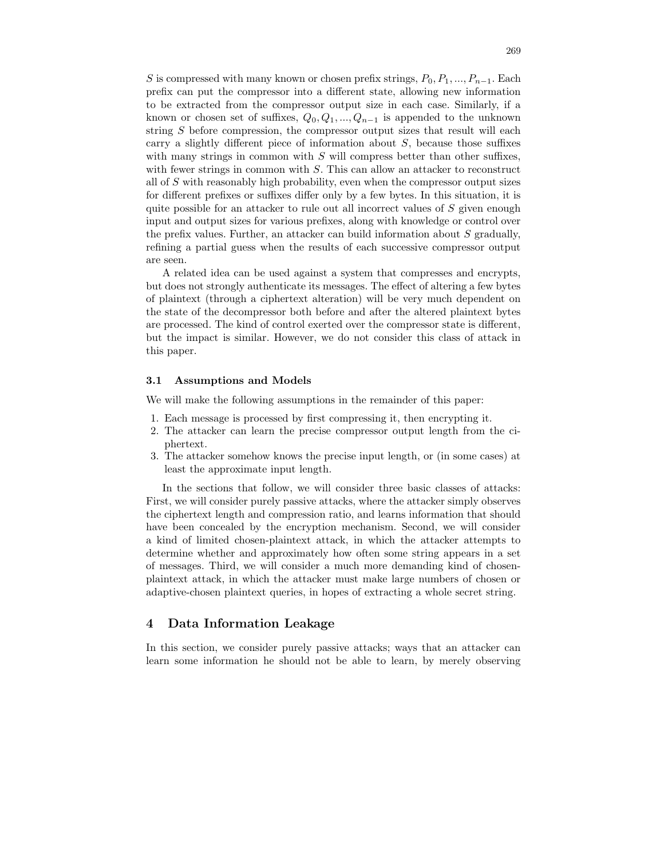S is compressed with many known or chosen prefix strings,  $P_0, P_1, ..., P_{n-1}$ . Each prefix can put the compressor into a different state, allowing new information to be extracted from the compressor output size in each case. Similarly, if a known or chosen set of suffixes,  $Q_0, Q_1, ..., Q_{n-1}$  is appended to the unknown string S before compression, the compressor output sizes that result will each carry a slightly different piece of information about  $S$ , because those suffixes with many strings in common with  $S$  will compress better than other suffixes, with fewer strings in common with S. This can allow an attacker to reconstruct all of S with reasonably high probability, even when the compressor output sizes for different prefixes or suffixes differ only by a few bytes. In this situation, it is quite possible for an attacker to rule out all incorrect values of  $S$  given enough input and output sizes for various prefixes, along with knowledge or control over the prefix values. Further, an attacker can build information about  $S$  gradually, refining a partial guess when the results of each successive compressor output are seen.

A related idea can be used against a system that compresses and encrypts, but does not strongly authenticate its messages. The effect of altering a few bytes of plaintext (through a ciphertext alteration) will be very much dependent on the state of the decompressor both before and after the altered plaintext bytes are processed. The kind of control exerted over the compressor state is different, but the impact is similar. However, we do not consider this class of attack in this paper.

### 3.1 Assumptions and Models

We will make the following assumptions in the remainder of this paper:

- 1. Each message is processed by first compressing it, then encrypting it.
- 2. The attacker can learn the precise compressor output length from the ciphertext.
- 3. The attacker somehow knows the precise input length, or (in some cases) at least the approximate input length.

In the sections that follow, we will consider three basic classes of attacks: First, we will consider purely passive attacks, where the attacker simply observes the ciphertext length and compression ratio, and learns information that should have been concealed by the encryption mechanism. Second, we will consider a kind of limited chosen-plaintext attack, in which the attacker attempts to determine whether and approximately how often some string appears in a set of messages. Third, we will consider a much more demanding kind of chosenplaintext attack, in which the attacker must make large numbers of chosen or adaptive-chosen plaintext queries, in hopes of extracting a whole secret string.

# 4 Data Information Leakage

In this section, we consider purely passive attacks; ways that an attacker can learn some information he should not be able to learn, by merely observing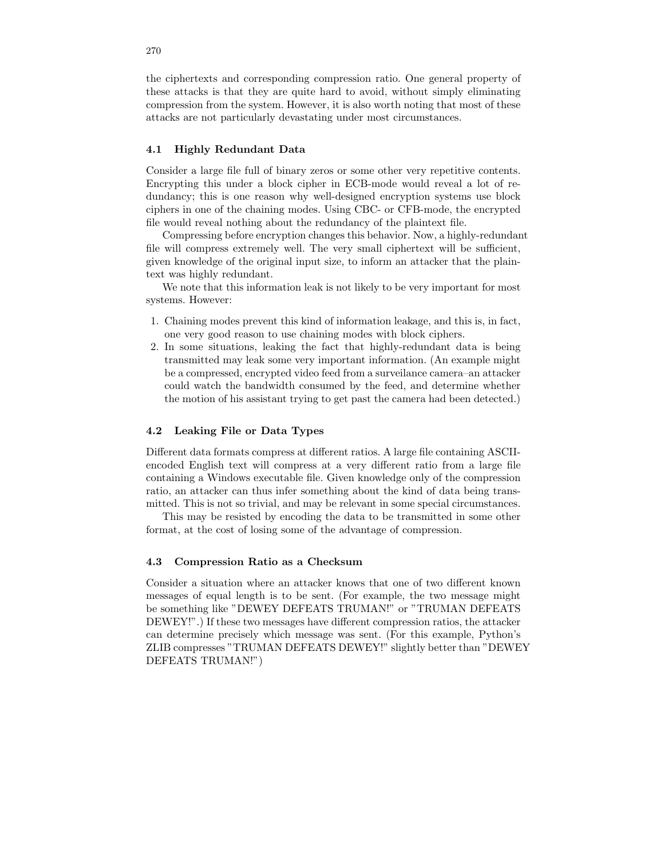the ciphertexts and corresponding compression ratio. One general property of these attacks is that they are quite hard to avoid, without simply eliminating compression from the system. However, it is also worth noting that most of these attacks are not particularly devastating under most circumstances.

## 4.1 Highly Redundant Data

Consider a large file full of binary zeros or some other very repetitive contents. Encrypting this under a block cipher in ECB-mode would reveal a lot of redundancy; this is one reason why well-designed encryption systems use block ciphers in one of the chaining modes. Using CBC- or CFB-mode, the encrypted file would reveal nothing about the redundancy of the plaintext file.

Compressing before encryption changes this behavior. Now, a highly-redundant file will compress extremely well. The very small ciphertext will be sufficient, given knowledge of the original input size, to inform an attacker that the plaintext was highly redundant.

We note that this information leak is not likely to be very important for most systems. However:

- 1. Chaining modes prevent this kind of information leakage, and this is, in fact, one very good reason to use chaining modes with block ciphers.
- 2. In some situations, leaking the fact that highly-redundant data is being transmitted may leak some very important information. (An example might be a compressed, encrypted video feed from a surveilance camera–an attacker could watch the bandwidth consumed by the feed, and determine whether the motion of his assistant trying to get past the camera had been detected.)

#### 4.2 Leaking File or Data Types

Different data formats compress at different ratios. A large file containing ASCIIencoded English text will compress at a very different ratio from a large file containing a Windows executable file. Given knowledge only of the compression ratio, an attacker can thus infer something about the kind of data being transmitted. This is not so trivial, and may be relevant in some special circumstances.

This may be resisted by encoding the data to be transmitted in some other format, at the cost of losing some of the advantage of compression.

#### 4.3 Compression Ratio as a Checksum

Consider a situation where an attacker knows that one of two different known messages of equal length is to be sent. (For example, the two message might be something like "DEWEY DEFEATS TRUMAN!" or "TRUMAN DEFEATS DEWEY!".) If these two messages have different compression ratios, the attacker can determine precisely which message was sent. (For this example, Python's ZLIB compresses "TRUMAN DEFEATS DEWEY!" slightly better than "DEWEY DEFEATS TRUMAN!")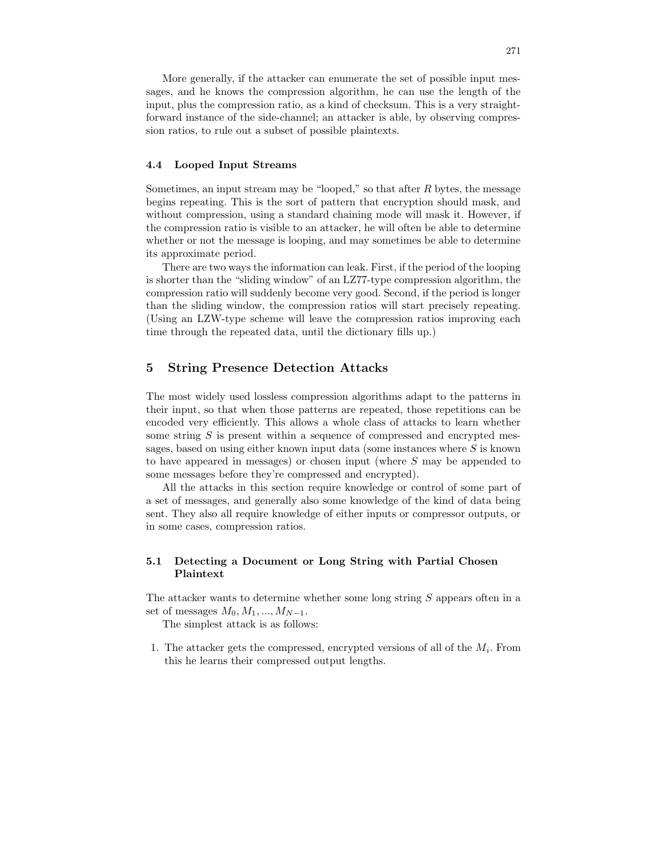More generally, if the attacker can enumerate the set of possible input messages, and he knows the compression algorithm, he can use the length of the input, plus the compression ratio, as a kind of checksum. This is a very straightforward instance of the side-channel; an attacker is able, by observing compression ratios, to rule out a subset of possible plaintexts.

### 4.4 Looped Input Streams

Sometimes, an input stream may be "looped," so that after  $R$  bytes, the message begins repeating. This is the sort of pattern that encryption should mask, and without compression, using a standard chaining mode will mask it. However, if the compression ratio is visible to an attacker, he will often be able to determine whether or not the message is looping, and may sometimes be able to determine its approximate period.

There are two ways the information can leak. First, if the period of the looping is shorter than the "sliding window" of an LZ77-type compression algorithm, the compression ratio will suddenly become very good. Second, if the period is longer than the sliding window, the compression ratios will start precisely repeating. (Using an LZW-type scheme will leave the compression ratios improving each time through the repeated data, until the dictionary fills up.)

# 5 String Presence Detection Attacks

The most widely used lossless compression algorithms adapt to the patterns in their input, so that when those patterns are repeated, those repetitions can be encoded very efficiently. This allows a whole class of attacks to learn whether some string  $S$  is present within a sequence of compressed and encrypted messages, based on using either known input data (some instances where  $S$  is known to have appeared in messages) or chosen input (where S may be appended to some messages before they're compressed and encrypted).

All the attacks in this section require knowledge or control of some part of a set of messages, and generally also some knowledge of the kind of data being sent. They also all require knowledge of either inputs or compressor outputs, or in some cases, compression ratios.

# 5.1 Detecting a Document or Long String with Partial Chosen Plaintext

The attacker wants to determine whether some long string S appears often in a set of messages  $M_0, M_1, ..., M_{N-1}$ .

The simplest attack is as follows:

1. The attacker gets the compressed, encrypted versions of all of the  $M_i$ . From this he learns their compressed output lengths.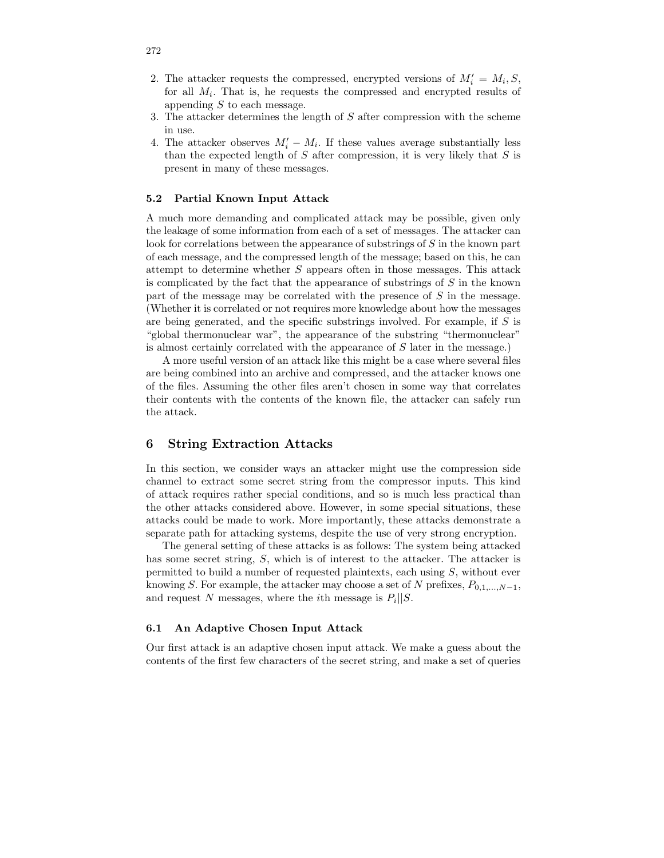- 2. The attacker requests the compressed, encrypted versions of  $M'_i = M_i, S$ , for all  $M_i$ . That is, he requests the compressed and encrypted results of appending  $S$  to each message.
- 3. The attacker determines the length of S after compression with the scheme in use.
- 4. The attacker observes  $M_i' M_i$ . If these values average substantially less than the expected length of  $S$  after compression, it is very likely that  $S$  is present in many of these messages.

#### 5.2 Partial Known Input Attack

A much more demanding and complicated attack may be possible, given only the leakage of some information from each of a set of messages. The attacker can look for correlations between the appearance of substrings of S in the known part of each message, and the compressed length of the message; based on this, he can attempt to determine whether S appears often in those messages. This attack is complicated by the fact that the appearance of substrings of  $S$  in the known part of the message may be correlated with the presence of S in the message. (Whether it is correlated or not requires more knowledge about how the messages are being generated, and the specific substrings involved. For example, if S is "global thermonuclear war", the appearance of the substring "thermonuclear" is almost certainly correlated with the appearance of S later in the message.)

A more useful version of an attack like this might be a case where several files are being combined into an archive and compressed, and the attacker knows one of the files. Assuming the other files aren't chosen in some way that correlates their contents with the contents of the known file, the attacker can safely run the attack.

# 6 String Extraction Attacks

In this section, we consider ways an attacker might use the compression side channel to extract some secret string from the compressor inputs. This kind of attack requires rather special conditions, and so is much less practical than the other attacks considered above. However, in some special situations, these attacks could be made to work. More importantly, these attacks demonstrate a separate path for attacking systems, despite the use of very strong encryption.

The general setting of these attacks is as follows: The system being attacked has some secret string, S, which is of interest to the attacker. The attacker is permitted to build a number of requested plaintexts, each using  $S$ , without ever knowing S. For example, the attacker may choose a set of N prefixes,  $P_{0,1,...,N-1}$ , and request N messages, where the *i*th message is  $P_i||S$ .

#### 6.1 An Adaptive Chosen Input Attack

Our first attack is an adaptive chosen input attack. We make a guess about the contents of the first few characters of the secret string, and make a set of queries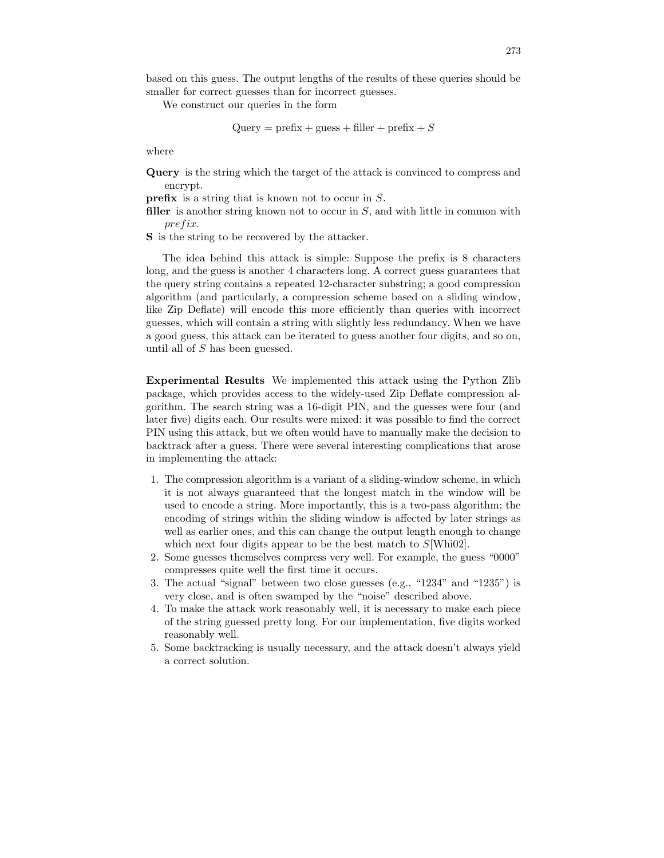based on this guess. The output lengths of the results of these queries should be smaller for correct guesses than for incorrect guesses.

We construct our queries in the form

$$
Query = prefix + guess + filter + prefix + S
$$

where

Query is the string which the target of the attack is convinced to compress and encrypt.

prefix is a string that is known not to occur in S.

**filler** is another string known not to occur in  $S$ , and with little in common with prefix.

S is the string to be recovered by the attacker.

The idea behind this attack is simple: Suppose the prefix is 8 characters long, and the guess is another 4 characters long. A correct guess guarantees that the query string contains a repeated 12-character substring; a good compression algorithm (and particularly, a compression scheme based on a sliding window, like Zip Deflate) will encode this more efficiently than queries with incorrect guesses, which will contain a string with slightly less redundancy. When we have a good guess, this attack can be iterated to guess another four digits, and so on, until all of S has been guessed.

Experimental Results We implemented this attack using the Python Zlib package, which provides access to the widely-used Zip Deflate compression algorithm. The search string was a 16-digit PIN, and the guesses were four (and later five) digits each. Our results were mixed: it was possible to find the correct PIN using this attack, but we often would have to manually make the decision to backtrack after a guess. There were several interesting complications that arose in implementing the attack:

- 1. The compression algorithm is a variant of a sliding-window scheme, in which it is not always guaranteed that the longest match in the window will be used to encode a string. More importantly, this is a two-pass algorithm; the encoding of strings within the sliding window is affected by later strings as well as earlier ones, and this can change the output length enough to change which next four digits appear to be the best match to  $S[\text{Whi}02]$ .
- 2. Some guesses themselves compress very well. For example, the guess "0000" compresses quite well the first time it occurs.
- 3. The actual "signal" between two close guesses (e.g., "1234" and "1235") is very close, and is often swamped by the "noise" described above.
- 4. To make the attack work reasonably well, it is necessary to make each piece of the string guessed pretty long. For our implementation, five digits worked reasonably well.
- 5. Some backtracking is usually necessary, and the attack doesn't always yield a correct solution.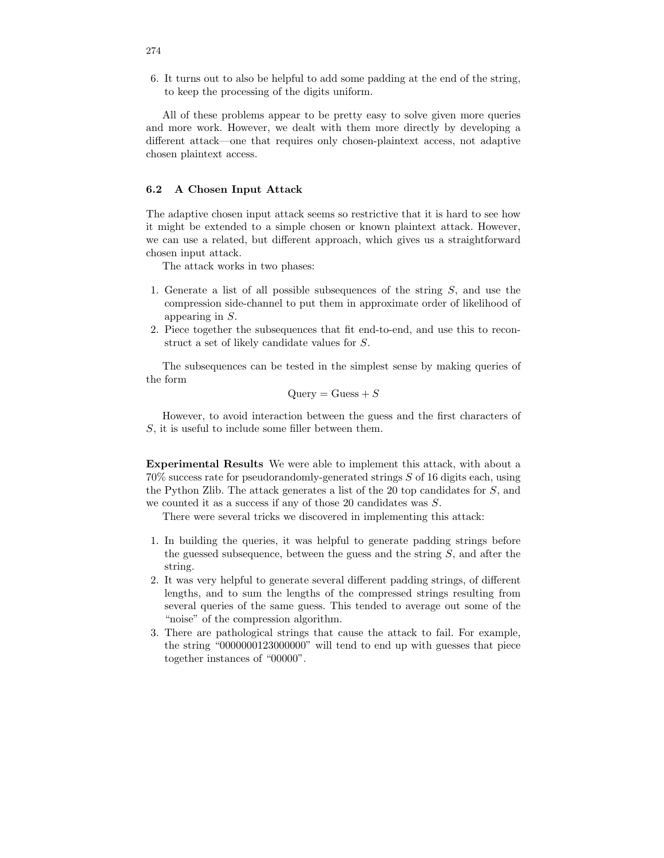6. It turns out to also be helpful to add some padding at the end of the string, to keep the processing of the digits uniform.

All of these problems appear to be pretty easy to solve given more queries and more work. However, we dealt with them more directly by developing a different attack—one that requires only chosen-plaintext access, not adaptive chosen plaintext access.

## 6.2 A Chosen Input Attack

The adaptive chosen input attack seems so restrictive that it is hard to see how it might be extended to a simple chosen or known plaintext attack. However, we can use a related, but different approach, which gives us a straightforward chosen input attack.

The attack works in two phases:

- 1. Generate a list of all possible subsequences of the string S, and use the compression side-channel to put them in approximate order of likelihood of appearing in S.
- 2. Piece together the subsequences that fit end-to-end, and use this to reconstruct a set of likely candidate values for S.

The subsequences can be tested in the simplest sense by making queries of the form

$$
Query = Guess + S
$$

However, to avoid interaction between the guess and the first characters of S, it is useful to include some filler between them.

Experimental Results We were able to implement this attack, with about a 70% success rate for pseudorandomly-generated strings S of 16 digits each, using the Python Zlib. The attack generates a list of the 20 top candidates for  $S$ , and we counted it as a success if any of those 20 candidates was S.

There were several tricks we discovered in implementing this attack:

- 1. In building the queries, it was helpful to generate padding strings before the guessed subsequence, between the guess and the string S, and after the string.
- 2. It was very helpful to generate several different padding strings, of different lengths, and to sum the lengths of the compressed strings resulting from several queries of the same guess. This tended to average out some of the "noise" of the compression algorithm.
- 3. There are pathological strings that cause the attack to fail. For example, the string "0000000123000000" will tend to end up with guesses that piece together instances of "00000".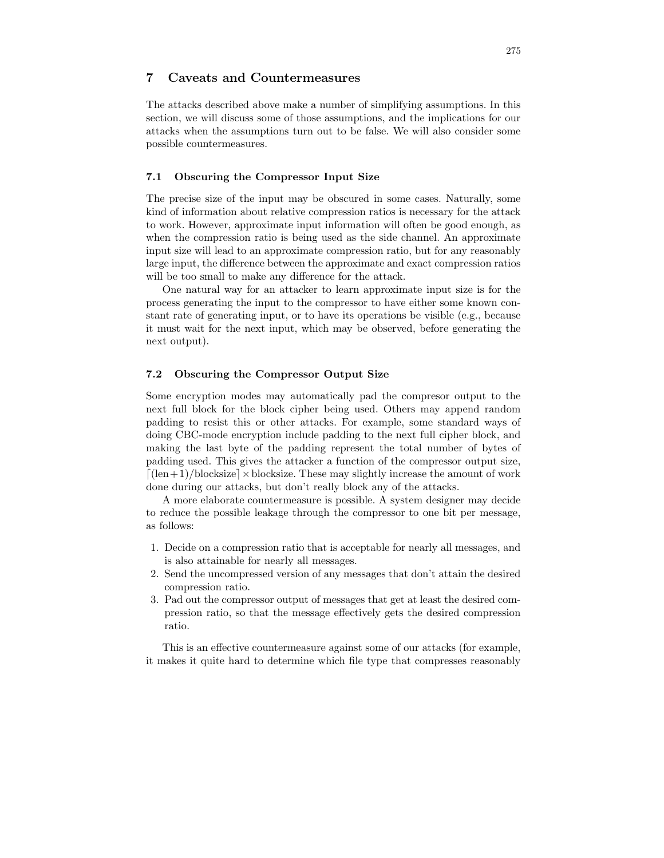# 7 Caveats and Countermeasures

The attacks described above make a number of simplifying assumptions. In this section, we will discuss some of those assumptions, and the implications for our attacks when the assumptions turn out to be false. We will also consider some possible countermeasures.

# 7.1 Obscuring the Compressor Input Size

The precise size of the input may be obscured in some cases. Naturally, some kind of information about relative compression ratios is necessary for the attack to work. However, approximate input information will often be good enough, as when the compression ratio is being used as the side channel. An approximate input size will lead to an approximate compression ratio, but for any reasonably large input, the difference between the approximate and exact compression ratios will be too small to make any difference for the attack.

One natural way for an attacker to learn approximate input size is for the process generating the input to the compressor to have either some known constant rate of generating input, or to have its operations be visible (e.g., because it must wait for the next input, which may be observed, before generating the next output).

### 7.2 Obscuring the Compressor Output Size

Some encryption modes may automatically pad the compresor output to the next full block for the block cipher being used. Others may append random padding to resist this or other attacks. For example, some standard ways of doing CBC-mode encryption include padding to the next full cipher block, and making the last byte of the padding represent the total number of bytes of padding used. This gives the attacker a function of the compressor output size,  $\lfloor(\text{len}+1)/\text{blocksize}\rfloor \times \text{blocksize}$ . These may slightly increase the amount of work done during our attacks, but don't really block any of the attacks.

A more elaborate countermeasure is possible. A system designer may decide to reduce the possible leakage through the compressor to one bit per message, as follows:

- 1. Decide on a compression ratio that is acceptable for nearly all messages, and is also attainable for nearly all messages.
- 2. Send the uncompressed version of any messages that don't attain the desired compression ratio.
- 3. Pad out the compressor output of messages that get at least the desired compression ratio, so that the message effectively gets the desired compression ratio.

This is an effective countermeasure against some of our attacks (for example, it makes it quite hard to determine which file type that compresses reasonably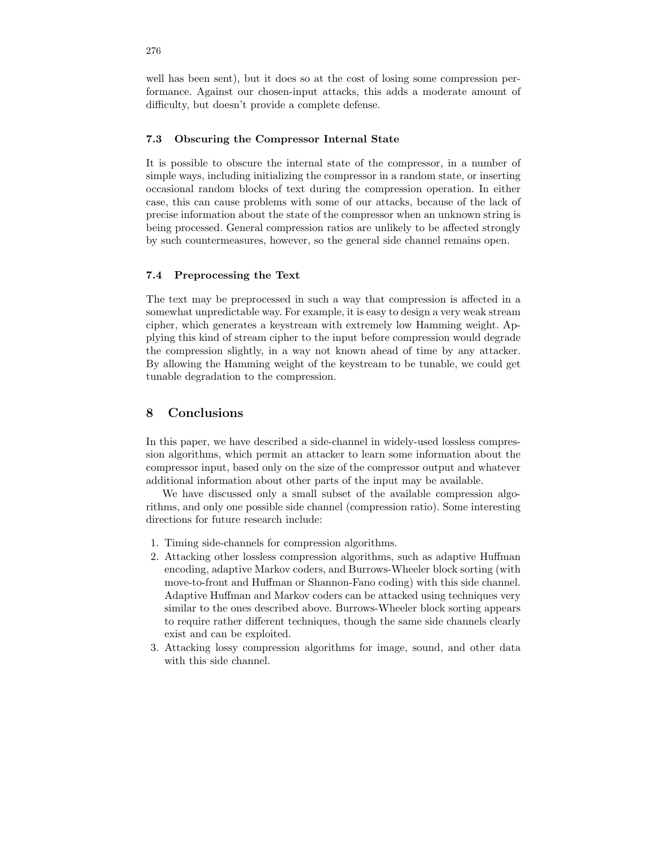well has been sent), but it does so at the cost of losing some compression performance. Against our chosen-input attacks, this adds a moderate amount of difficulty, but doesn't provide a complete defense.

### 7.3 Obscuring the Compressor Internal State

It is possible to obscure the internal state of the compressor, in a number of simple ways, including initializing the compressor in a random state, or inserting occasional random blocks of text during the compression operation. In either case, this can cause problems with some of our attacks, because of the lack of precise information about the state of the compressor when an unknown string is being processed. General compression ratios are unlikely to be affected strongly by such countermeasures, however, so the general side channel remains open.

### 7.4 Preprocessing the Text

The text may be preprocessed in such a way that compression is affected in a somewhat unpredictable way. For example, it is easy to design a very weak stream cipher, which generates a keystream with extremely low Hamming weight. Applying this kind of stream cipher to the input before compression would degrade the compression slightly, in a way not known ahead of time by any attacker. By allowing the Hamming weight of the keystream to be tunable, we could get tunable degradation to the compression.

# 8 Conclusions

In this paper, we have described a side-channel in widely-used lossless compression algorithms, which permit an attacker to learn some information about the compressor input, based only on the size of the compressor output and whatever additional information about other parts of the input may be available.

We have discussed only a small subset of the available compression algorithms, and only one possible side channel (compression ratio). Some interesting directions for future research include:

- 1. Timing side-channels for compression algorithms.
- 2. Attacking other lossless compression algorithms, such as adaptive Huffman encoding, adaptive Markov coders, and Burrows-Wheeler block sorting (with move-to-front and Huffman or Shannon-Fano coding) with this side channel. Adaptive Huffman and Markov coders can be attacked using techniques very similar to the ones described above. Burrows-Wheeler block sorting appears to require rather different techniques, though the same side channels clearly exist and can be exploited.
- 3. Attacking lossy compression algorithms for image, sound, and other data with this side channel.